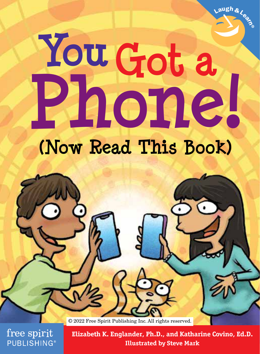# **YouGot a Phone!**

# **(Now Read This Book)**

© 2022 Free Spirit Publishing Inc. All rights reserved.

free spirit **PUBLISHING®** 

**Elizabeth K. Englander, Ph.D., and Katharine Covino, Ed.D. Illustrated by Steve Mark**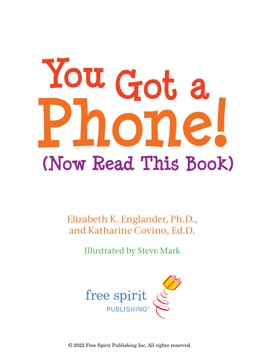# **Phone! (Now Read This Book) You Got a**

Elizabeth K. Englander, Ph.D., and Katharine Covino, Ed.D.

Illustrated by Steve Mark



© 2022 Free Spirit Publishing Inc. All rights reserved.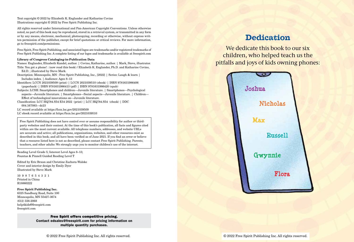Text copyright © 2022 by Elizabeth K. Englander and Katharine Covino Illustrations copyright © 2022 by Free Spirit Publishing Inc.

All rights reserved under International and Pan-American Copyright Conventions. Unless otherwise noted, no part of this book may be reproduced, stored in a retrieval system, or transmitted in any form or by any means, electronic, mechanical, photocopying, recording or otherwise, without express written permission of the publisher, except for brief quotations or critical reviews. For more information, go to freespirit.com/permissions.

Free Spirit, Free Spirit Publishing, and associated logos are trademarks and/or registered trademarks of Free Spirit Publishing Inc. A complete listing of our logos and trademarks is available at freespirit.com

#### Library of Congress Cataloging-in-Publication Data

Names: Englander, Elizabeth Kandel, author. | Covino, Katharine, author. | Mark, Steve, illustrator. Title: You got a phone! : (now read this book) / Elizabeth K. Englander, Ph.D. and Katharine Covino, Ed.D. ; illustrated by Steve Mark.

- Description: Minneapolis, MN : Free Spirit Publishing, Inc., [2022] | Series: Laugh & learn | Includes index. | Audience: Ages 8–13
- Identifiers: LCCN 2021039509 (print) | LCCN 2021039510 (ebook) | ISBN 9781631986406 (paperback) | ISBN 9781631986413 (pdf) | ISBN 9781631986420 (epub)
- Subjects: LCSH: Smartphones and children—Juvenile literature. | Smartphones—Psychological aspects—Juvenile literature. | Smartphones—Social aspects—Juvenile literature. | Children— Effect of technological innovations on—Juvenile literature.
- Classification: LCC HQ784.S54 E54 2022 (print) | LCC HQ784.S54 (ebook) | DDC 004.167083—dc23
- LC record available at https://lccn.loc.gov/2021039509
- LC ebook record available at https://lccn.loc.gov/2021039510

Free Spirit Publishing does not have control over or assume responsibility for author or thirdparty websites and their content. At the time of this book's publication, all facts and figures cited within are the most current available. All telephone numbers, addresses, and website URLs are accurate and active; all publications, organizations, websites, and other resources exist as described in this book; and all have been verified as of June 2021. If you find an error or believe that a resource listed here is not as described, please contact Free Spirit Publishing. Parents, teachers, and other adults: We strongly urge you to monitor children's use of the internet.

Reading Level Grade 5; Interest Level Ages 8–13; Fountas & Pinnell Guided Reading Level T

Edited by Eric Braun and Christine Zuchora-Walske Cover and interior design by Emily Dyer Illustrated by Steve Mark

10 9 8 7 6 5 4 3 2 1 Printed in China R18860222

#### Free Spirit Publishing Inc.

6325 Sandburg Road, Suite 100 Minneapolis, MN 55427-3674 (612) 338-2068 help4kids@freespirit.com freespirit.com

> Free Spirit offers competitive pricing. Contact edsales@freespirit.com for pricing information on multiple quantity purchases.

We dedicate this book to our six children, who helped teach us the pitfalls and joys of kids owning phones:

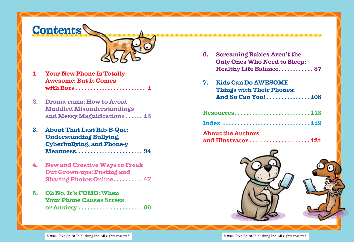# **Contents**



- **1. Your New Phone Is Totally Awesome: But It Comes with Buts . . . . . . . . . . . . . . . . . . . . . . . . 1**
- **2. Drama-rama: How to Avoid Muddled Misunderstandings and Messy Magnifications . . . . . . 13**
- **3. About That Last Rib-B-Que: Understanding Bullying, Cyberbullying, and Phone-y Meanness . . . . . . . . . . . . . . . . . . . . . . . 34**
- **4. New and Creative Ways to Freak Out Grown-ups: Posting and Sharing Photos Online . . . . . . . . . . 47**
- **5. Oh No, It's FOMO: When Your Phone Causes Stress or Anxiety . . . . . . . . . . . . . . . . . . . . . . 66**

| 6. | <b>Screaming Babies Aren't the</b>  |
|----|-------------------------------------|
|    | <b>Only Ones Who Need to Sleep:</b> |
|    | <b>Healthy Life Balance 87</b>      |
| 7. | <b>Kids Can Do AWESOME</b>          |
|    | <b>Things with Their Phones:</b>    |
|    | And So Can You!108                  |
|    | Resources118                        |
|    |                                     |
|    | <b>About the Authors</b>            |

**and Illustrator . . . . . . . . . . . . . . . . . . . . .121**



. . . . . . . . . . . . . . .

© 2022 Free Spirit Publishing Inc. All rights reserved. © 2022 Free Spirit Publishing Inc. All rights reserved.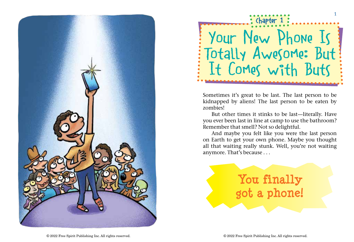



Sometimes it's great to be last. The last person to be kidnapped by aliens! The last person to be eaten by zombies!

But other times it stinks to be last—literally. Have you ever been last in line at camp to use the bathroom? Remember that smell? Not so delightful.

And maybe you felt like you were the last person on Earth to get your own phone. Maybe you thought all that waiting really stunk. Well, you're not waiting anymore. That's because . . .

# **You finally got a phone!**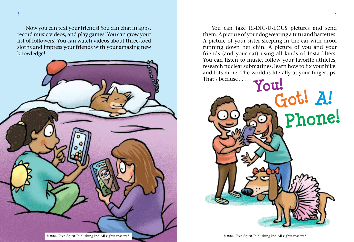Now you can text your friends! You can chat in apps, record music videos, and play games! You can grow your list of followers! You can watch videos about three-toed sloths and impress your friends with your amazing new knowledge!



You can take RI-DIC-U-LOUS pictures and send them. A picture of your dog wearing a tutu and barrettes. A picture of your sister sleeping in the car with drool running down her chin. A picture of you and your friends (and your cat) using all kinds of Insta-filters. You can listen to music, follow your favorite athletes, research nuclear submarines, learn how to fix your bike, and lots more. The world is literally at your fingertips.

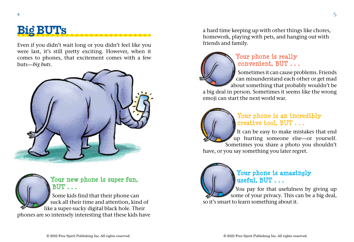## **Big BUTs**

Even if you didn't wait long or you didn't feel like you were last, it's still pretty exciting. However, when it comes to phones, that excitement comes with a few buts—*big buts*.





### **Your new phone is super fun, BUT . . .**

Some kids find that their phone can suck all their time and attention, kind of like a super-sucky digital black hole. Their phones are so intensely interesting that these kids have a hard time keeping up with other things like chores, homework, playing with pets, and hanging out with friends and family.



### **Your phone is really convenient, BUT . . .**

Sometimes it can cause problems. Friends can misunderstand each other or get mad about something that probably wouldn't be

a big deal in person. Sometimes it seems like the wrong emoji can start the next world war.



#### **Your phone is an incredibly creative tool, BUT . . .**

It can be easy to make mistakes that end up hurting someone else—or yourself. Sometimes you share a photo you shouldn't have, or you say something you later regret.



You pay for that usefulness by giving up some of your privacy. This can be a big deal, so it's smart to learn something about it.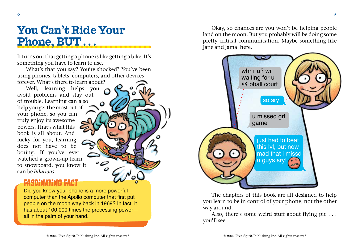It turns out that getting a phone is like getting a bike: It's something you have to learn to use.

What's that you say? You're shocked? You've been using phones, tablets, computers, and other devices forever. What's there to learn about?

Well, learning helps you avoid problems and stay out of trouble. Learning can also help you get the most out of your phone, so you can truly enjoy its awesome powers. That's what this book is all about. And lucky for you, learning does not have to be boring. If you've ever watched a grown-up learn to snowboard, you know it can be *hilarious.*

## **FASCINATING FACT**

Did you know your phone is a more powerful computer than the Apollo computer that first put people on the moon way back in 1969? In fact, it has about 100,000 times the processing power all in the palm of your hand.

Okay, so chances are you won't be helping people land on the moon. But you probably will be doing some pretty critical communication. Maybe something like Jane and Jamal here.



The chapters of this book are all designed to help you learn to be in control of your phone, not the other way around.

Also, there's some weird stuff about flying pie . . . you'll see.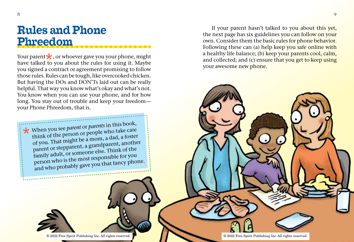$\bigstar$ 

# **Rules and Phone Phreedom**

Your parent  $\star$ , or whoever gave you your phone, might have talked to you about the rules for using it. Maybe you signed a contract or agreement promising to follow those rules. Rules can be tough, like overcooked chicken. But having the DOs and DON'Ts laid out can be really helpful. That way you know what's okay and what's not. You know when you can use your phone, and for how long. You stay out of trouble and keep your freedom your Phone Phreedom, that is.

When you see *parent* or *parents* in this book,<br>think of the person or people who take care think of the person or people who take care of you. That might be a mom, a dad, a foster parent or stepparent, a grandparent, another family adult, or someone else. Think of the person who is the most responsible for you and who probably gave you that fancy phone.

If your parent hasn't talked to you about this yet, the next page has six guidelines you can follow on your own. Consider them the basic rules for phone behavior. Following these can (a) help keep you safe online with a healthy life balance; (b) keep your parents cool, calm, and collected; and (c) ensure that you get to keep using your awesome new phone.